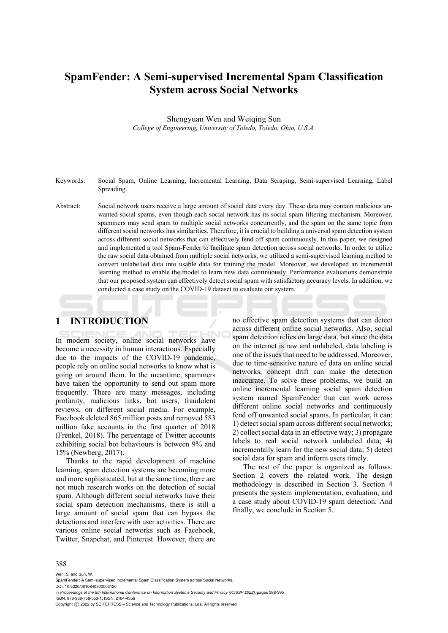# **SpamFender: A Semi-supervised Incremental Spam Classification System across Social Networks**

Shengyuan Wen and Weiqing Sun *College of Engineering, University of Toledo, Toledo, Ohio, U.S.A.* 

- Keywords: Social Spam, Online Learning, Incremental Learning, Data Scraping, Semi-supervised Learning, Label Spreading.
- Abstract: Social network users receive a large amount of social data every day. These data may contain malicious unwanted social spams, even though each social network has its social spam filtering mechanism. Moreover, spammers may send spam to multiple social networks concurrently, and the spam on the same topic from different social networks has similarities. Therefore, it is crucial to building a universal spam detection system across different social networks that can effectively fend off spam continuously. In this paper, we designed and implemented a tool Spam-Fender to facilitate spam detection across social networks. In order to utilize the raw social data obtained from multiple social networks, we utilized a semi-supervised learning method to convert unlabelled data into usable data for training the model. Moreover, we developed an incremental learning method to enable the model to learn new data continuously. Performance evaluations demonstrate that our proposed system can effectively detect social spam with satisfactory accuracy levels. In addition, we conducted a case study on the COVID-19 dataset to evaluate our system.

# **1 INTRODUCTION**

In modern society, online social networks have become a necessity in human interactions. Especially due to the impacts of the COVID-19 pandemic, people rely on online social networks to know what is going on around them. In the meantime, spammers have taken the opportunity to send out spam more frequently. There are many messages, including profanity, malicious links, bot users, fraudulent reviews, on different social media. For example, Facebook deleted 865 million posts and removed 583 million fake accounts in the first quarter of 2018 (Frenkel, 2018). The percentage of Twitter accounts exhibiting social bot behaviours is between 9% and 15% (Newberg, 2017).

Thanks to the rapid development of machine learning, spam detection systems are becoming more and more sophisticated, but at the same time, there are not much research works on the detection of social spam. Although different social networks have their social spam detection mechanisms, there is still a large amount of social spam that can bypass the detections and interfere with user activities. There are various online social networks such as Facebook, Twitter, Snapchat, and Pinterest. However, there are

no effective spam detection systems that can detect across different online social networks. Also, social spam detection relies on large data, but since the data on the internet is raw and unlabeled, data labeling is one of the issues that need to be addressed. Moreover, due to time-sensitive nature of data on online social networks, concept drift can make the detection inaccurate. To solve these problems, we build an online incremental learning social spam detection system named SpamFender that can work across different online social networks and continuously fend off unwanted social spams. In particular, it can: 1) detect social spam across different social networks; 2) collect social data in an effective way; 3) propagate labels to real social network unlabeled data; 4) incrementally learn for the new social data; 5) detect social data for spam and inform users timely.

The rest of the paper is organized as follows. Section 2 covers the related work. The design methodology is described in Section 3. Section 4 presents the system implementation, evaluation, and a case study about COVID-19 spam detection. And finally, we conclude in Section 5.

#### 388

Wen, S. and Sun, W. SpamFender: A Semi-supervised Incremental Spam Classification System across Social Networks. DOI: 10.5220/0010840300003120 In *Proceedings of the 8th International Conference on Information Systems Security and Privacy (ICISSP 2022)*, pages 388-395 ISBN: 978-989-758-553-1; ISSN: 2184-4356 Copyright (C) 2022 by SCITEPRESS - Science and Technology Publications, Lda. All rights reserved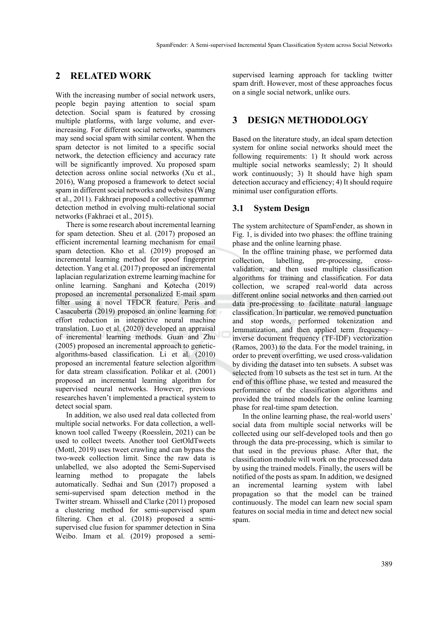## **2 RELATED WORK**

With the increasing number of social network users, people begin paying attention to social spam detection. Social spam is featured by crossing multiple platforms, with large volume, and everincreasing. For different social networks, spammers may send social spam with similar content. When the spam detector is not limited to a specific social network, the detection efficiency and accuracy rate will be significantly improved. Xu proposed spam detection across online social networks (Xu et al., 2016), Wang proposed a framework to detect social spam in different social networks and websites (Wang et al., 2011). Fakhraei proposed a collective spammer detection method in evolving multi-relational social networks (Fakhraei et al., 2015).

There is some research about incremental learning for spam detection. Sheu et al. (2017) proposed an efficient incremental learning mechanism for email spam detection. Kho et al. (2019) proposed an incremental learning method for spoof fingerprint detection. Yang et al. (2017) proposed an incremental laplacian regularization extreme learning machine for online learning. Sanghani and Kotecha (2019) proposed an incremental personalized E-mail spam filter using a novel TFDCR feature. Peris and Casacuberta (2019) proposed an online learning for effort reduction in interactive neural machine translation. Luo et al. (2020) developed an appraisal of incremental learning methods. Guan and Zhu (2005) proposed an incremental approach to geneticalgorithms-based classification. Li et al. (2010) proposed an incremental feature selection algorithm for data stream classification. Polikar et al. (2001) proposed an incremental learning algorithm for supervised neural networks. However, previous researches haven't implemented a practical system to detect social spam.

In addition, we also used real data collected from multiple social networks. For data collection, a wellknown tool called Tweepy (Roesslein, 2021) can be used to collect tweets. Another tool GetOldTweets (Mottl, 2019) uses tweet crawling and can bypass the two-week collection limit. Since the raw data is unlabelled, we also adopted the Semi-Supervised learning method to propagate the labels automatically. Sedhai and Sun (2017) proposed a semi-supervised spam detection method in the Twitter stream. Whissell and Clarke (2011) proposed a clustering method for semi-supervised spam filtering. Chen et al. (2018) proposed a semisupervised clue fusion for spammer detection in Sina Weibo. Imam et al. (2019) proposed a semisupervised learning approach for tackling twitter spam drift. However, most of these approaches focus on a single social network, unlike ours.

# **3 DESIGN METHODOLOGY**

Based on the literature study, an ideal spam detection system for online social networks should meet the following requirements: 1) It should work across multiple social networks seamlessly; 2) It should work continuously; 3) It should have high spam detection accuracy and efficiency; 4) It should require minimal user configuration efforts.

### **3.1 System Design**

The system architecture of SpamFender, as shown in Fig. 1, is divided into two phases: the offline training phase and the online learning phase.

In the offline training phase, we performed data collection, labelling, pre-processing, crossvalidation, and then used multiple classification algorithms for training and classification. For data collection, we scraped real-world data across different online social networks and then carried out data pre-processing to facilitate natural language classification. In particular, we removed punctuation and stop words, performed tokenization and lemmatization, and then applied term frequency– inverse document frequency (TF-IDF) vectorization (Ramos, 2003) to the data. For the model training, in order to prevent overfitting, we used cross-validation by dividing the dataset into ten subsets. A subset was selected from 10 subsets as the test set in turn. At the end of this offline phase, we tested and measured the performance of the classification algorithms and provided the trained models for the online learning phase for real-time spam detection.

In the online learning phase, the real-world users' social data from multiple social networks will be collected using our self-developed tools and then go through the data pre-processing, which is similar to that used in the previous phase. After that, the classification module will work on the processed data by using the trained models. Finally, the users will be notified of the posts as spam. In addition, we designed an incremental learning system with label propagation so that the model can be trained continuously. The model can learn new social spam features on social media in time and detect new social spam.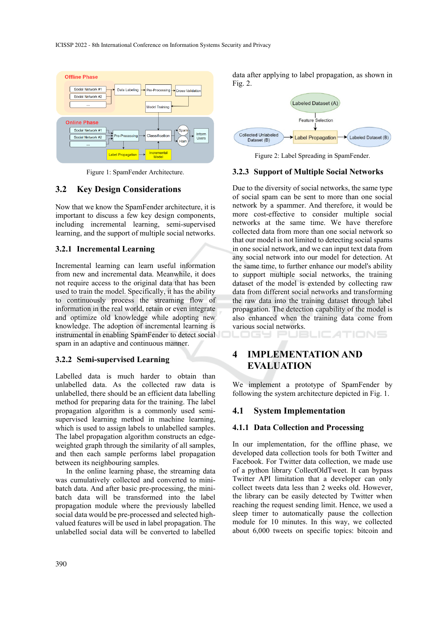

Figure 1: SpamFender Architecture.

## **3.2 Key Design Considerations**

Now that we know the SpamFender architecture, it is important to discuss a few key design components, including incremental learning, semi-supervised learning, and the support of multiple social networks.

## **3.2.1 Incremental Learning**

Incremental learning can learn useful information from new and incremental data. Meanwhile, it does not require access to the original data that has been used to train the model. Specifically, it has the ability to continuously process the streaming flow of information in the real world, retain or even integrate and optimize old knowledge while adopting new knowledge. The adoption of incremental learning is instrumental in enabling SpamFender to detect social spam in an adaptive and continuous manner.

#### **3.2.2 Semi-supervised Learning**

Labelled data is much harder to obtain than unlabelled data. As the collected raw data is unlabelled, there should be an efficient data labelling method for preparing data for the training. The label propagation algorithm is a commonly used semisupervised learning method in machine learning, which is used to assign labels to unlabelled samples. The label propagation algorithm constructs an edgeweighted graph through the similarity of all samples, and then each sample performs label propagation between its neighbouring samples.

In the online learning phase, the streaming data was cumulatively collected and converted to minibatch data. And after basic pre-processing, the minibatch data will be transformed into the label propagation module where the previously labelled social data would be pre-processed and selected highvalued features will be used in label propagation. The unlabelled social data will be converted to labelled

data after applying to label propagation, as shown in Fig. 2.



Figure 2: Label Spreading in SpamFender.

### **3.2.3 Support of Multiple Social Networks**

Due to the diversity of social networks, the same type of social spam can be sent to more than one social network by a spammer. And therefore, it would be more cost-effective to consider multiple social networks at the same time. We have therefore collected data from more than one social network so that our model is not limited to detecting social spams in one social network, and we can input text data from any social network into our model for detection. At the same time, to further enhance our model's ability to support multiple social networks, the training dataset of the model is extended by collecting raw data from different social networks and transforming the raw data into the training dataset through label propagation. The detection capability of the model is also enhanced when the training data come from various social networks. TIONS

# **4 IMPLEMENTATION AND EVALUATION**

1651

We implement a prototype of SpamFender by following the system architecture depicted in Fig. 1.

#### **4.1 System Implementation**

#### **4.1.1 Data Collection and Processing**

In our implementation, for the offline phase, we developed data collection tools for both Twitter and Facebook. For Twitter data collection, we made use of a python library CollectOldTweet. It can bypass Twitter API limitation that a developer can only collect tweets data less than 2 weeks old. However, the library can be easily detected by Twitter when reaching the request sending limit. Hence, we used a sleep timer to automatically pause the collection module for 10 minutes. In this way, we collected about 6,000 tweets on specific topics: bitcoin and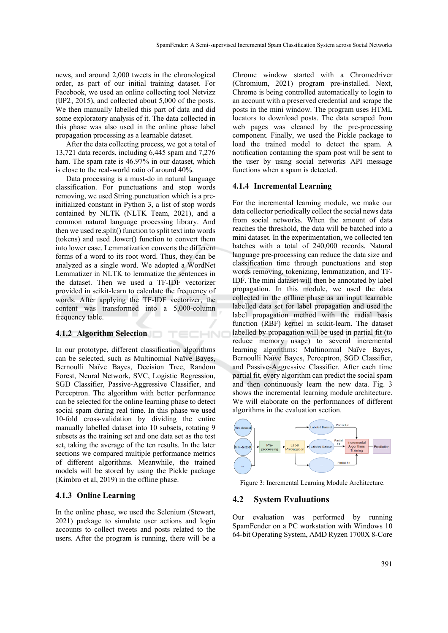news, and around 2,000 tweets in the chronological order, as part of our initial training dataset. For Facebook, we used an online collecting tool Netvizz (UP2, 2015), and collected about 5,000 of the posts. We then manually labelled this part of data and did some exploratory analysis of it. The data collected in this phase was also used in the online phase label propagation processing as a learnable dataset.

After the data collecting process, we got a total of 13,721 data records, including 6,445 spam and 7,276 ham. The spam rate is 46.97% in our dataset, which is close to the real-world ratio of around 40%.

Data processing is a must-do in natural language classification. For punctuations and stop words removing, we used String.punctuation which is a preinitialized constant in Python 3, a list of stop words contained by NLTK (NLTK Team, 2021), and a common natural language processing library. And then we used re.split() function to split text into words (tokens) and used .lower() function to convert them into lower case. Lemmatization converts the different forms of a word to its root word. Thus, they can be analyzed as a single word. We adopted a WordNet Lemmatizer in NLTK to lemmatize the sentences in the dataset. Then we used a TF-IDF vectorizer provided in scikit-learn to calculate the frequency of words. After applying the TF-IDF vectorizer, the content was transformed into a 5,000-column frequency table.

### **4.1.2 Algorithm Selection**

In our prototype, different classification algorithms can be selected, such as Multinomial Naïve Bayes, Bernoulli Naïve Bayes, Decision Tree, Random Forest, Neural Network, SVC, Logistic Regression, SGD Classifier, Passive-Aggressive Classifier, and Perceptron. The algorithm with better performance can be selected for the online learning phase to detect social spam during real time. In this phase we used 10-fold cross-validation by dividing the entire manually labelled dataset into 10 subsets, rotating 9 subsets as the training set and one data set as the test set, taking the average of the ten results. In the later sections we compared multiple performance metrics of different algorithms. Meanwhile, the trained models will be stored by using the Pickle package (Kimbro et al, 2019) in the offline phase.

TECHNO

#### **4.1.3 Online Learning**

In the online phase, we used the Selenium (Stewart, 2021) package to simulate user actions and login accounts to collect tweets and posts related to the users. After the program is running, there will be a

Chrome window started with a Chromedriver (Chromium, 2021) program pre-installed. Next, Chrome is being controlled automatically to login to an account with a preserved credential and scrape the posts in the mini window. The program uses HTML locators to download posts. The data scraped from web pages was cleaned by the pre-processing component. Finally, we used the Pickle package to load the trained model to detect the spam. A notification containing the spam post will be sent to the user by using social networks API message functions when a spam is detected.

#### **4.1.4 Incremental Learning**

For the incremental learning module, we make our data collector periodically collect the social news data from social networks. When the amount of data reaches the threshold, the data will be batched into a mini dataset. In the experimentation, we collected ten batches with a total of 240,000 records. Natural language pre-processing can reduce the data size and classification time through punctuations and stop words removing, tokenizing, lemmatization, and TF-IDF. The mini dataset will then be annotated by label propagation. In this module, we used the data collected in the offline phase as an input learnable labelled data set for label propagation and used the label propagation method with the radial basis function (RBF) kernel in scikit-learn. The dataset labelled by propagation will be used in partial fit (to reduce memory usage) to several incremental learning algorithms: Multinomial Naïve Bayes, Bernoulli Naïve Bayes, Perceptron, SGD Classifier, and Passive-Aggressive Classifier. After each time partial fit, every algorithm can predict the social spam and then continuously learn the new data. Fig. 3 shows the incremental learning module architecture. We will elaborate on the performances of different algorithms in the evaluation section.



Figure 3: Incremental Learning Module Architecture.

#### **4.2 System Evaluations**

Our evaluation was performed by running SpamFender on a PC workstation with Windows 10 64-bit Operating System, AMD Ryzen 1700X 8-Core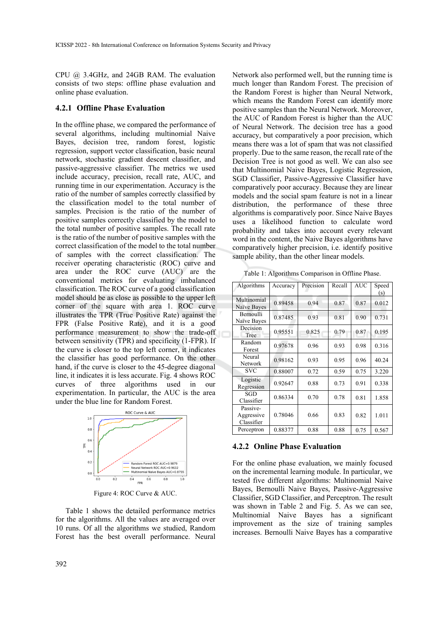CPU @ 3.4GHz, and 24GB RAM. The evaluation consists of two steps: offline phase evaluation and online phase evaluation.

### **4.2.1 Offline Phase Evaluation**

In the offline phase, we compared the performance of several algorithms, including multinomial Naive Bayes, decision tree, random forest, logistic regression, support vector classification, basic neural network, stochastic gradient descent classifier, and passive-aggressive classifier. The metrics we used include accuracy, precision, recall rate, AUC, and running time in our experimentation. Accuracy is the ratio of the number of samples correctly classified by the classification model to the total number of samples. Precision is the ratio of the number of positive samples correctly classified by the model to the total number of positive samples. The recall rate is the ratio of the number of positive samples with the correct classification of the model to the total number of samples with the correct classification. The receiver operating characteristic (ROC) curve and area under the ROC curve (AUC) are the conventional metrics for evaluating imbalanced classification. The ROC curve of a good classification model should be as close as possible to the upper left corner of the square with area 1. ROC curve illustrates the TPR (True Positive Rate) against the FPR (False Positive Rate), and it is a good performance measurement to show the trade-off between sensitivity (TPR) and specificity (1-FPR). If the curve is closer to the top left corner, it indicates the classifier has good performance. On the other hand, if the curve is closer to the 45-degree diagonal line, it indicates it is less accurate. Fig. 4 shows ROC curves of three algorithms used in our experimentation. In particular, the AUC is the area under the blue line for Random Forest.



Figure 4: ROC Curve & AUC.

Table 1 shows the detailed performance metrics for the algorithms. All the values are averaged over 10 runs. Of all the algorithms we studied, Random Forest has the best overall performance. Neural

Network also performed well, but the running time is much longer than Random Forest. The precision of the Random Forest is higher than Neural Network, which means the Random Forest can identify more positive samples than the Neural Network. Moreover, the AUC of Random Forest is higher than the AUC of Neural Network. The decision tree has a good accuracy, but comparatively a poor precision, which means there was a lot of spam that was not classified properly. Due to the same reason, the recall rate of the Decision Tree is not good as well. We can also see that Multinomial Naive Bayes, Logistic Regression, SGD Classifier, Passive-Aggressive Classifier have comparatively poor accuracy. Because they are linear models and the social spam feature is not in a linear distribution, the performance of these three algorithms is comparatively poor. Since Naive Bayes uses a likelihood function to calculate word probability and takes into account every relevant word in the content, the Naive Bayes algorithms have comparatively higher precision, i.e. identify positive sample ability, than the other linear models.

Table 1: Algorithms Comparison in Offline Phase.

| Algorithms                           | Accuracy | Precision | Recall | <b>AUC</b> | Speed<br>(s) |
|--------------------------------------|----------|-----------|--------|------------|--------------|
| Multinomial<br>Naïve Bayes           | 0.89458  | 0.94      | 0.87   | 0.87       | 0.012        |
| <b>Bernoulli</b><br>Naïve Bayes      | 0.87485  | 0.93      | 0.81   | 0.90       | 0.731        |
| Decision<br>Tree                     | 0.95551  | 0.825     | 0.79   | 0.87       | 0.195        |
| Random<br>Forest                     | 0.97678  | 0.96      | 0.93   | 0.98       | 0.316        |
| Neural<br>Network                    | 0.98162  | 0.93      | 0.95   | 0.96       | 40.24        |
| <b>SVC</b>                           | 0.88007  | 0.72      | 0.59   | 0.75       | 3.220        |
| Logistic<br>Regression               | 0.92647  | 0.88      | 0.73   | 0.91       | 0.338        |
| SGD<br>Classifier                    | 0.86334  | 0.70      | 0.78   | 0.81       | 1.858        |
| Passive-<br>Aggressive<br>Classifier | 0.78046  | 0.66      | 0.83   | 0.82       | 1.011        |
| Perceptron                           | 0.88377  | 0.88      | 0.88   | 0.75       | 0.567        |

#### **4.2.2 Online Phase Evaluation**

For the online phase evaluation, we mainly focused on the incremental learning module. In particular, we tested five different algorithms: Multinomial Naive Bayes, Bernoulli Naive Bayes, Passive-Aggressive Classifier, SGD Classifier, and Perceptron. The result was shown in Table 2 and Fig. 5. As we can see, Multinomial Naive Bayes has a significant improvement as the size of training samples increases. Bernoulli Naive Bayes has a comparative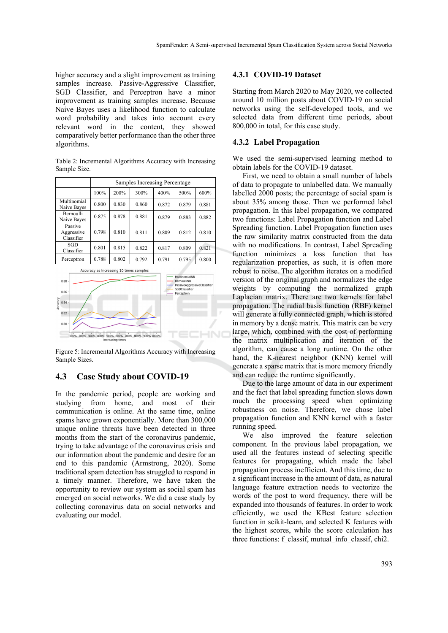higher accuracy and a slight improvement as training samples increase. Passive-Aggressive Classifier, SGD Classifier, and Perceptron have a minor improvement as training samples increase. Because Naive Bayes uses a likelihood function to calculate word probability and takes into account every relevant word in the content, they showed comparatively better performance than the other three algorithms.

Table 2: Incremental Algorithms Accuracy with Increasing Sample Size.

|                                     | Samples Increasing Percentage |       |       |       |       |       |
|-------------------------------------|-------------------------------|-------|-------|-------|-------|-------|
|                                     | 100%                          | 200%  | 300%  | 400%  | 500%  | 600%  |
| Multinomial<br>Naive Bayes          | 0.800                         | 0.830 | 0.860 | 0.872 | 0.879 | 0.881 |
| Bernoulli<br>Naive Bayes            | 0.875                         | 0.878 | 0.881 | 0.879 | 0.883 | 0.882 |
| Passive<br>Aggressive<br>Classifier | 0.798                         | 0.810 | 0.811 | 0.809 | 0.812 | 0.810 |
| SGD<br>Classifier                   | 0.801                         | 0.815 | 0.822 | 0.817 | 0.809 | 0.821 |
| Perceptron                          | 0.788                         | 0.802 | 0.792 | 0.791 | 0.795 | 0.800 |



Figure 5: Incremental Algorithms Accuracy with Increasing Sample Sizes.

## **4.3 Case Study about COVID-19**

In the pandemic period, people are working and studying from home, and most of their communication is online. At the same time, online spams have grown exponentially. More than 300,000 unique online threats have been detected in three months from the start of the coronavirus pandemic, trying to take advantage of the coronavirus crisis and our information about the pandemic and desire for an end to this pandemic (Armstrong, 2020). Some traditional spam detection has struggled to respond in a timely manner. Therefore, we have taken the opportunity to review our system as social spam has emerged on social networks. We did a case study by collecting coronavirus data on social networks and evaluating our model.

#### **4.3.1 COVID-19 Dataset**

Starting from March 2020 to May 2020, we collected around 10 million posts about COVID-19 on social networks using the self-developed tools, and we selected data from different time periods, about 800,000 in total, for this case study.

#### **4.3.2 Label Propagation**

We used the semi-supervised learning method to obtain labels for the COVID-19 dataset.

First, we need to obtain a small number of labels of data to propagate to unlabelled data. We manually labelled 2000 posts; the percentage of social spam is about 35% among those. Then we performed label propagation. In this label propagation, we compared two functions: Label Propagation function and Label Spreading function. Label Propagation function uses the raw similarity matrix constructed from the data with no modifications. In contrast, Label Spreading function minimizes a loss function that has regularization properties, as such, it is often more robust to noise. The algorithm iterates on a modified version of the original graph and normalizes the edge weights by computing the normalized graph Laplacian matrix. There are two kernels for label propagation. The radial basis function (RBF) kernel will generate a fully connected graph, which is stored in memory by a dense matrix. This matrix can be very large, which, combined with the cost of performing the matrix multiplication and iteration of the algorithm, can cause a long runtime. On the other hand, the K-nearest neighbor (KNN) kernel will generate a sparse matrix that is more memory friendly and can reduce the runtime significantly.

Due to the large amount of data in our experiment and the fact that label spreading function slows down much the processing speed when optimizing robustness on noise. Therefore, we chose label propagation function and KNN kernel with a faster running speed.

We also improved the feature selection component. In the previous label propagation, we used all the features instead of selecting specific features for propagating, which made the label propagation process inefficient. And this time, due to a significant increase in the amount of data, as natural language feature extraction needs to vectorize the words of the post to word frequency, there will be expanded into thousands of features. In order to work efficiently, we used the KBest feature selection function in scikit-learn, and selected K features with the highest scores, while the score calculation has three functions: f\_classif, mutual\_info\_classif, chi2.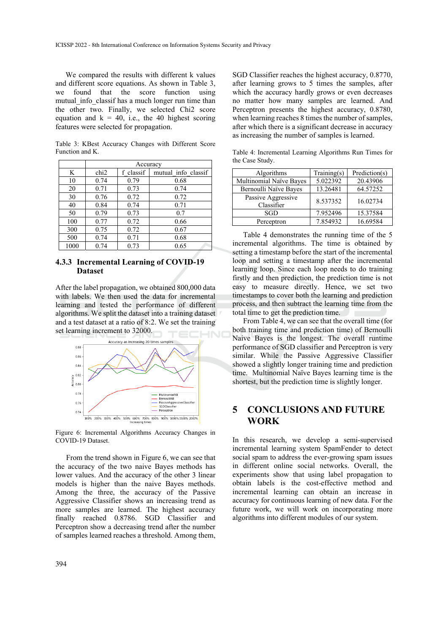We compared the results with different k values and different score equations. As shown in Table 3, we found that the score function using mutual info classif has a much longer run time than the other two. Finally, we selected Chi2 score equation and  $k = 40$ , i.e., the 40 highest scoring features were selected for propagation.

Table 3: KBest Accuracy Changes with Different Score Function and K.

|      | Accuracy         |           |                     |  |
|------|------------------|-----------|---------------------|--|
| K    | chi <sub>2</sub> | f classif | mutual info classif |  |
| 10   | 0.74             | 0.79      | 0.68                |  |
| 20   | 0.71             | 0.73      | 0.74                |  |
| 30   | 0.76             | 0.72      | 0.72                |  |
| 40   | 0.84             | 0.74      | 0.71                |  |
| 50   | 0.79             | 0.73      | 0.7                 |  |
| 100  | 0.77             | 0.72      | 0.66                |  |
| 300  | 0.75             | 0.72      | 0.67                |  |
| 500  | 0.74             | 0.71      | 0.68                |  |
| 1000 | 0.74             | 0.73      | 0.65                |  |

## **4.3.3 Incremental Learning of COVID-19 Dataset**

After the label propagation, we obtained 800,000 data with labels. We then used the data for incremental learning and tested the performance of different algorithms. We split the dataset into a training dataset and a test dataset at a ratio of 8:2. We set the training set learning increment to 32000.



Figure 6: Incremental Algorithms Accuracy Changes in COVID-19 Dataset.

From the trend shown in Figure 6, we can see that the accuracy of the two naive Bayes methods has lower values. And the accuracy of the other 3 linear models is higher than the naive Bayes methods. Among the three, the accuracy of the Passive Aggressive Classifier shows an increasing trend as more samples are learned. The highest accuracy finally reached 0.8786. SGD Classifier and Perceptron show a decreasing trend after the number of samples learned reaches a threshold. Among them,

SGD Classifier reaches the highest accuracy, 0.8770, after learning grows to 5 times the samples, after which the accuracy hardly grows or even decreases no matter how many samples are learned. And Perceptron presents the highest accuracy, 0.8780, when learning reaches 8 times the number of samples, after which there is a significant decrease in accuracy as increasing the number of samples is learned.

Table 4: Incremental Learning Algorithms Run Times for the Case Study.

| Algorithms                       | Training(s) | Prediction(s) |
|----------------------------------|-------------|---------------|
| Multinomial Naïve Bayes          | 5.022392    | 20.43906      |
| Bernoulli Naïve Bayes            | 13.26481    | 64.57252      |
| Passive Aggressive<br>Classifier | 8.537352    | 16.02734      |
| SGD                              | 7.952496    | 15.37584      |
| Perceptron                       | 7.854932    | 16.69584      |

Table 4 demonstrates the running time of the 5 incremental algorithms. The time is obtained by setting a timestamp before the start of the incremental loop and setting a timestamp after the incremental learning loop. Since each loop needs to do training firstly and then prediction, the prediction time is not easy to measure directly. Hence, we set two timestamps to cover both the learning and prediction process, and then subtract the learning time from the total time to get the prediction time.

From Table 4, we can see that the overall time (for both training time and prediction time) of Bernoulli Naive Bayes is the longest. The overall runtime performance of SGD classifier and Perceptron is very similar. While the Passive Aggressive Classifier showed a slightly longer training time and prediction time. Multinomial Naïve Bayes learning time is the shortest, but the prediction time is slightly longer.

# **5 CONCLUSIONS AND FUTURE WORK**

In this research, we develop a semi-supervised incremental learning system SpamFender to detect social spam to address the ever-growing spam issues in different online social networks. Overall, the experiments show that using label propagation to obtain labels is the cost-effective method and incremental learning can obtain an increase in accuracy for continuous learning of new data. For the future work, we will work on incorporating more algorithms into different modules of our system.